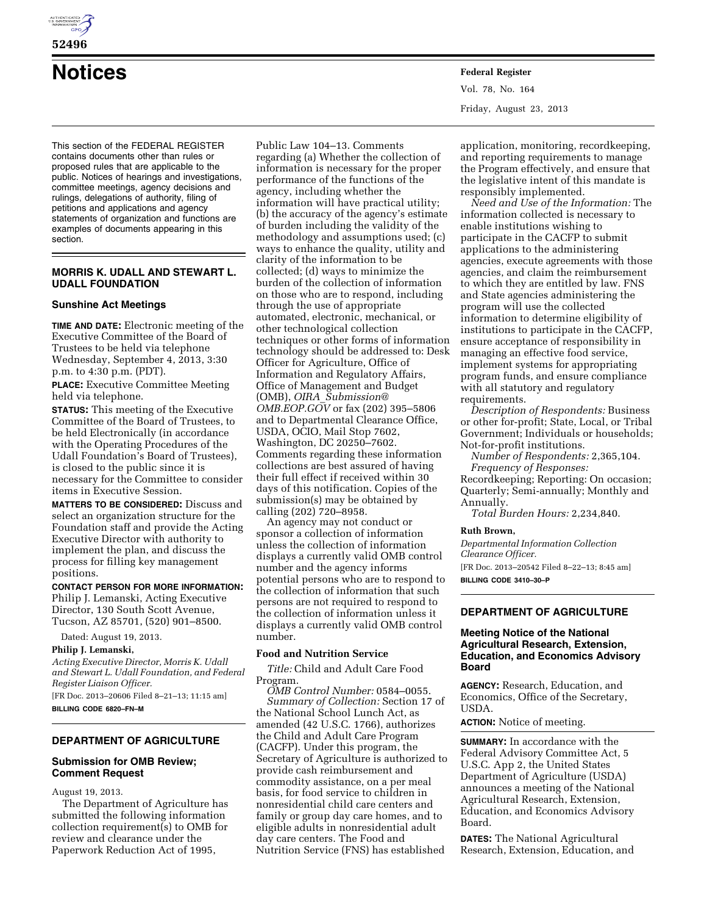

# **52496**

# **Notices Federal Register**

This section of the FEDERAL REGISTER contains documents other than rules or proposed rules that are applicable to the public. Notices of hearings and investigations, committee meetings, agency decisions and rulings, delegations of authority, filing of petitions and applications and agency statements of organization and functions are examples of documents appearing in this section.

## **MORRIS K. UDALL AND STEWART L. UDALL FOUNDATION**

## **Sunshine Act Meetings**

**TIME AND DATE:** Electronic meeting of the Executive Committee of the Board of Trustees to be held via telephone Wednesday, September 4, 2013, 3:30 p.m. to 4:30 p.m. (PDT).

**PLACE:** Executive Committee Meeting held via telephone.

**STATUS:** This meeting of the Executive Committee of the Board of Trustees, to be held Electronically (in accordance with the Operating Procedures of the Udall Foundation's Board of Trustees), is closed to the public since it is necessary for the Committee to consider items in Executive Session.

**MATTERS TO BE CONSIDERED:** Discuss and select an organization structure for the Foundation staff and provide the Acting Executive Director with authority to implement the plan, and discuss the process for filling key management positions.

#### **CONTACT PERSON FOR MORE INFORMATION:**

Philip J. Lemanski, Acting Executive Director, 130 South Scott Avenue, Tucson, AZ 85701, (520) 901–8500.

Dated: August 19, 2013.

# **Philip J. Lemanski,**

*Acting Executive Director, Morris K. Udall and Stewart L. Udall Foundation, and Federal Register Liaison Officer.* 

[FR Doc. 2013–20606 Filed 8–21–13; 11:15 am] **BILLING CODE 6820–FN–M** 

## **DEPARTMENT OF AGRICULTURE**

#### **Submission for OMB Review; Comment Request**

August 19, 2013.

The Department of Agriculture has submitted the following information collection requirement(s) to OMB for review and clearance under the Paperwork Reduction Act of 1995,

Public Law 104–13. Comments regarding (a) Whether the collection of information is necessary for the proper performance of the functions of the agency, including whether the information will have practical utility; (b) the accuracy of the agency's estimate of burden including the validity of the methodology and assumptions used; (c) ways to enhance the quality, utility and clarity of the information to be collected; (d) ways to minimize the burden of the collection of information on those who are to respond, including through the use of appropriate automated, electronic, mechanical, or other technological collection techniques or other forms of information technology should be addressed to: Desk Officer for Agriculture, Office of Information and Regulatory Affairs, Office of Management and Budget (OMB), *OIRA*\_*[Submission@](mailto:OIRA_Submission@OMB.EOP.GOV) [OMB.EOP.GOV](mailto:OIRA_Submission@OMB.EOP.GOV)* or fax (202) 395–5806 and to Departmental Clearance Office, USDA, OCIO, Mail Stop 7602, Washington, DC 20250–7602. Comments regarding these information collections are best assured of having their full effect if received within 30 days of this notification. Copies of the submission(s) may be obtained by calling (202) 720–8958.

An agency may not conduct or sponsor a collection of information unless the collection of information displays a currently valid OMB control number and the agency informs potential persons who are to respond to the collection of information that such persons are not required to respond to the collection of information unless it displays a currently valid OMB control number.

# **Food and Nutrition Service**

*Title:* Child and Adult Care Food Program.

*OMB Control Number:* 0584–0055. *Summary of Collection:* Section 17 of the National School Lunch Act, as amended (42 U.S.C. 1766), authorizes the Child and Adult Care Program (CACFP). Under this program, the Secretary of Agriculture is authorized to provide cash reimbursement and commodity assistance, on a per meal basis, for food service to children in nonresidential child care centers and family or group day care homes, and to eligible adults in nonresidential adult day care centers. The Food and Nutrition Service (FNS) has established

Vol. 78, No. 164 Friday, August 23, 2013

application, monitoring, recordkeeping, and reporting requirements to manage the Program effectively, and ensure that the legislative intent of this mandate is responsibly implemented.

*Need and Use of the Information:* The information collected is necessary to enable institutions wishing to participate in the CACFP to submit applications to the administering agencies, execute agreements with those agencies, and claim the reimbursement to which they are entitled by law. FNS and State agencies administering the program will use the collected information to determine eligibility of institutions to participate in the CACFP, ensure acceptance of responsibility in managing an effective food service, implement systems for appropriating program funds, and ensure compliance with all statutory and regulatory requirements.

*Description of Respondents:* Business or other for-profit; State, Local, or Tribal Government; Individuals or households; Not-for-profit institutions.

*Number of Respondents:* 2,365,104. *Frequency of Responses:* 

Recordkeeping; Reporting: On occasion; Quarterly; Semi-annually; Monthly and Annually.

*Total Burden Hours:* 2,234,840.

#### **Ruth Brown,**

*Departmental Information Collection Clearance Officer.*  [FR Doc. 2013–20542 Filed 8–22–13; 8:45 am]

**BILLING CODE 3410–30–P** 

# **DEPARTMENT OF AGRICULTURE**

## **Meeting Notice of the National Agricultural Research, Extension, Education, and Economics Advisory Board**

**AGENCY:** Research, Education, and Economics, Office of the Secretary, USDA.

**ACTION:** Notice of meeting.

**SUMMARY:** In accordance with the Federal Advisory Committee Act, 5 U.S.C. App 2, the United States Department of Agriculture (USDA) announces a meeting of the National Agricultural Research, Extension, Education, and Economics Advisory Board.

**DATES:** The National Agricultural Research, Extension, Education, and